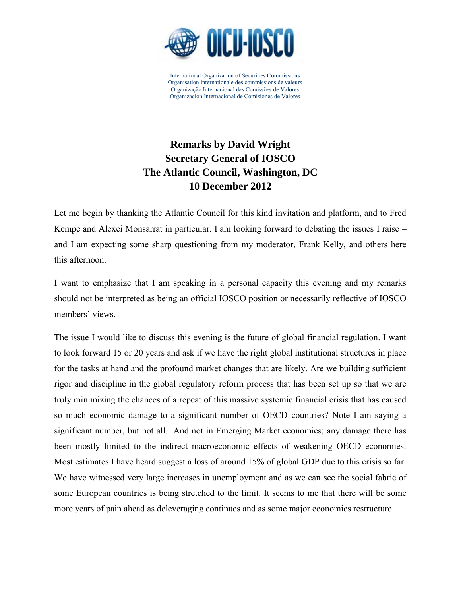

## **Remarks by David Wright Secretary General of IOSCO The Atlantic Council, Washington, DC 10 December 2012**

Let me begin by thanking the Atlantic Council for this kind invitation and platform, and to Fred Kempe and Alexei Monsarrat in particular. I am looking forward to debating the issues I raise – and I am expecting some sharp questioning from my moderator, Frank Kelly, and others here this afternoon.

I want to emphasize that I am speaking in a personal capacity this evening and my remarks should not be interpreted as being an official IOSCO position or necessarily reflective of IOSCO members' views.

The issue I would like to discuss this evening is the future of global financial regulation. I want to look forward 15 or 20 years and ask if we have the right global institutional structures in place for the tasks at hand and the profound market changes that are likely. Are we building sufficient rigor and discipline in the global regulatory reform process that has been set up so that we are truly minimizing the chances of a repeat of this massive systemic financial crisis that has caused so much economic damage to a significant number of OECD countries? Note I am saying a significant number, but not all. And not in Emerging Market economies; any damage there has been mostly limited to the indirect macroeconomic effects of weakening OECD economies. Most estimates I have heard suggest a loss of around 15% of global GDP due to this crisis so far. We have witnessed very large increases in unemployment and as we can see the social fabric of some European countries is being stretched to the limit. It seems to me that there will be some more years of pain ahead as deleveraging continues and as some major economies restructure.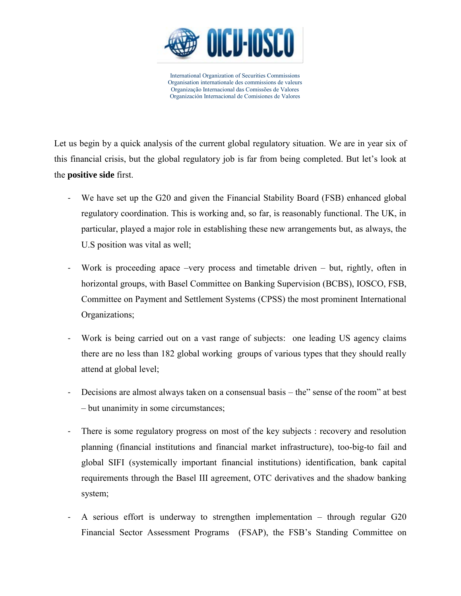

Let us begin by a quick analysis of the current global regulatory situation. We are in year six of this financial crisis, but the global regulatory job is far from being completed. But let's look at the **positive side** first.

- We have set up the G20 and given the Financial Stability Board (FSB) enhanced global regulatory coordination. This is working and, so far, is reasonably functional. The UK, in particular, played a major role in establishing these new arrangements but, as always, the U.S position was vital as well;
- Work is proceeding apace –very process and timetable driven but, rightly, often in horizontal groups, with Basel Committee on Banking Supervision (BCBS), IOSCO, FSB, Committee on Payment and Settlement Systems (CPSS) the most prominent International Organizations;
- Work is being carried out on a vast range of subjects: one leading US agency claims there are no less than 182 global working groups of various types that they should really attend at global level;
- Decisions are almost always taken on a consensual basis the" sense of the room" at best – but unanimity in some circumstances;
- There is some regulatory progress on most of the key subjects : recovery and resolution planning (financial institutions and financial market infrastructure), too-big-to fail and global SIFI (systemically important financial institutions) identification, bank capital requirements through the Basel III agreement, OTC derivatives and the shadow banking system;
- A serious effort is underway to strengthen implementation through regular G20 Financial Sector Assessment Programs (FSAP), the FSB's Standing Committee on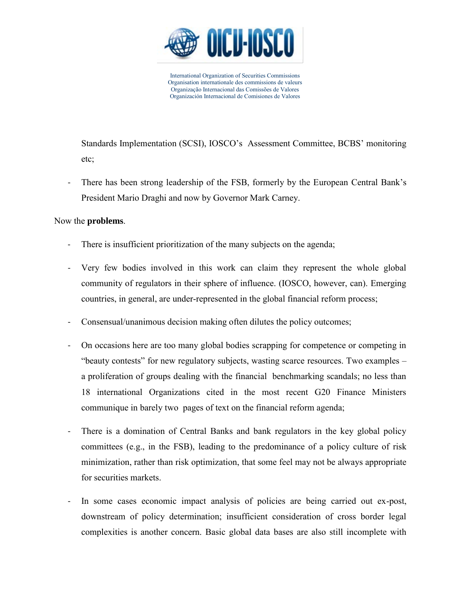

Standards Implementation (SCSI), IOSCO's Assessment Committee, BCBS' monitoring etc;

There has been strong leadership of the FSB, formerly by the European Central Bank's President Mario Draghi and now by Governor Mark Carney.

## Now the **problems**.

- There is insufficient prioritization of the many subjects on the agenda;
- Very few bodies involved in this work can claim they represent the whole global community of regulators in their sphere of influence. (IOSCO, however, can). Emerging countries, in general, are under-represented in the global financial reform process;
- Consensual/unanimous decision making often dilutes the policy outcomes;
- On occasions here are too many global bodies scrapping for competence or competing in "beauty contests" for new regulatory subjects, wasting scarce resources. Two examples – a proliferation of groups dealing with the financial benchmarking scandals; no less than 18 international Organizations cited in the most recent G20 Finance Ministers communique in barely two pages of text on the financial reform agenda;
- There is a domination of Central Banks and bank regulators in the key global policy committees (e.g., in the FSB), leading to the predominance of a policy culture of risk minimization, rather than risk optimization, that some feel may not be always appropriate for securities markets.
- In some cases economic impact analysis of policies are being carried out ex-post, downstream of policy determination; insufficient consideration of cross border legal complexities is another concern. Basic global data bases are also still incomplete with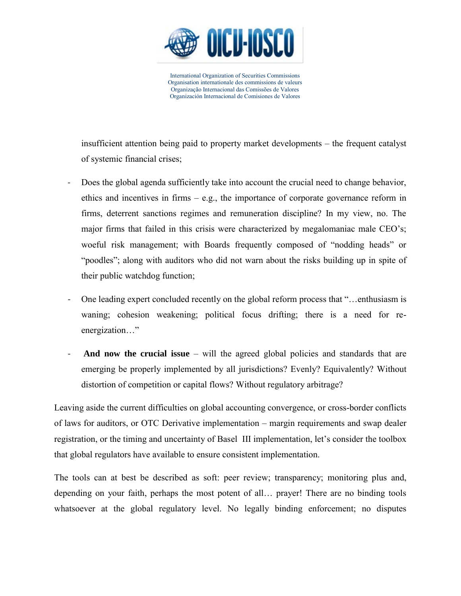

insufficient attention being paid to property market developments – the frequent catalyst of systemic financial crises;

- Does the global agenda sufficiently take into account the crucial need to change behavior, ethics and incentives in firms – e.g., the importance of corporate governance reform in firms, deterrent sanctions regimes and remuneration discipline? In my view, no. The major firms that failed in this crisis were characterized by megalomaniac male CEO's; woeful risk management; with Boards frequently composed of "nodding heads" or "poodles"; along with auditors who did not warn about the risks building up in spite of their public watchdog function;
- One leading expert concluded recently on the global reform process that "…enthusiasm is waning; cohesion weakening; political focus drifting; there is a need for reenergization…"
- **And now the crucial issue** will the agreed global policies and standards that are emerging be properly implemented by all jurisdictions? Evenly? Equivalently? Without distortion of competition or capital flows? Without regulatory arbitrage?

Leaving aside the current difficulties on global accounting convergence, or cross-border conflicts of laws for auditors, or OTC Derivative implementation – margin requirements and swap dealer registration, or the timing and uncertainty of Basel III implementation, let's consider the toolbox that global regulators have available to ensure consistent implementation.

The tools can at best be described as soft: peer review; transparency; monitoring plus and, depending on your faith, perhaps the most potent of all… prayer! There are no binding tools whatsoever at the global regulatory level. No legally binding enforcement; no disputes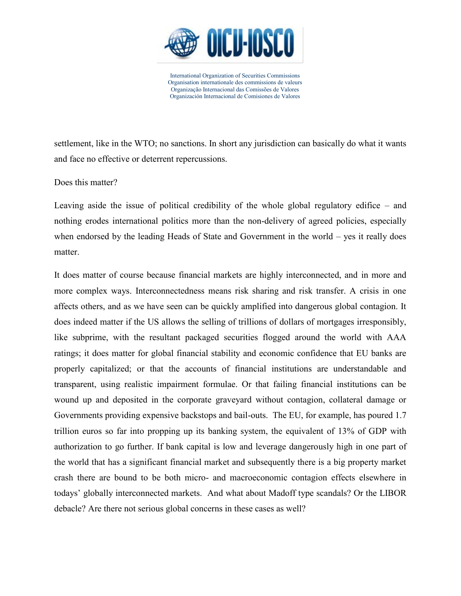

settlement, like in the WTO; no sanctions. In short any jurisdiction can basically do what it wants and face no effective or deterrent repercussions.

Does this matter?

Leaving aside the issue of political credibility of the whole global regulatory edifice – and nothing erodes international politics more than the non-delivery of agreed policies, especially when endorsed by the leading Heads of State and Government in the world – yes it really does matter.

It does matter of course because financial markets are highly interconnected, and in more and more complex ways. Interconnectedness means risk sharing and risk transfer. A crisis in one affects others, and as we have seen can be quickly amplified into dangerous global contagion. It does indeed matter if the US allows the selling of trillions of dollars of mortgages irresponsibly, like subprime, with the resultant packaged securities flogged around the world with AAA ratings; it does matter for global financial stability and economic confidence that EU banks are properly capitalized; or that the accounts of financial institutions are understandable and transparent, using realistic impairment formulae. Or that failing financial institutions can be wound up and deposited in the corporate graveyard without contagion, collateral damage or Governments providing expensive backstops and bail-outs. The EU, for example, has poured 1.7 trillion euros so far into propping up its banking system, the equivalent of 13% of GDP with authorization to go further. If bank capital is low and leverage dangerously high in one part of the world that has a significant financial market and subsequently there is a big property market crash there are bound to be both micro- and macroeconomic contagion effects elsewhere in todays' globally interconnected markets. And what about Madoff type scandals? Or the LIBOR debacle? Are there not serious global concerns in these cases as well?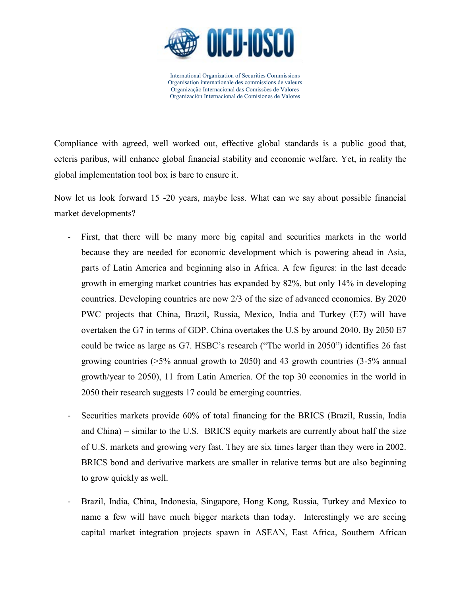

Compliance with agreed, well worked out, effective global standards is a public good that, ceteris paribus, will enhance global financial stability and economic welfare. Yet, in reality the global implementation tool box is bare to ensure it.

Now let us look forward 15 -20 years, maybe less. What can we say about possible financial market developments?

- First, that there will be many more big capital and securities markets in the world because they are needed for economic development which is powering ahead in Asia, parts of Latin America and beginning also in Africa. A few figures: in the last decade growth in emerging market countries has expanded by 82%, but only 14% in developing countries. Developing countries are now 2/3 of the size of advanced economies. By 2020 PWC projects that China, Brazil, Russia, Mexico, India and Turkey (E7) will have overtaken the G7 in terms of GDP. China overtakes the U.S by around 2040. By 2050 E7 could be twice as large as G7. HSBC's research ("The world in 2050") identifies 26 fast growing countries  $(5\%$  annual growth to 2050) and 43 growth countries  $(3-5\%$  annual growth/year to 2050), 11 from Latin America. Of the top 30 economies in the world in 2050 their research suggests 17 could be emerging countries.
- Securities markets provide 60% of total financing for the BRICS (Brazil, Russia, India and China) – similar to the U.S. BRICS equity markets are currently about half the size of U.S. markets and growing very fast. They are six times larger than they were in 2002. BRICS bond and derivative markets are smaller in relative terms but are also beginning to grow quickly as well.
- Brazil, India, China, Indonesia, Singapore, Hong Kong, Russia, Turkey and Mexico to name a few will have much bigger markets than today. Interestingly we are seeing capital market integration projects spawn in ASEAN, East Africa, Southern African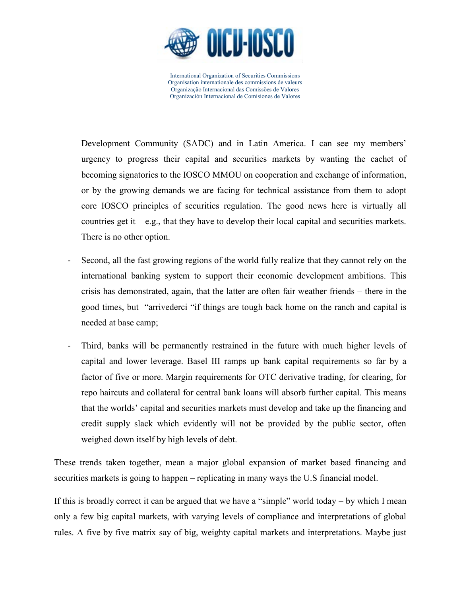

Development Community (SADC) and in Latin America. I can see my members' urgency to progress their capital and securities markets by wanting the cachet of becoming signatories to the IOSCO MMOU on cooperation and exchange of information, or by the growing demands we are facing for technical assistance from them to adopt core IOSCO principles of securities regulation. The good news here is virtually all countries get it  $-e.g.,$  that they have to develop their local capital and securities markets. There is no other option.

- Second, all the fast growing regions of the world fully realize that they cannot rely on the international banking system to support their economic development ambitions. This crisis has demonstrated, again, that the latter are often fair weather friends – there in the good times, but "arrivederci "if things are tough back home on the ranch and capital is needed at base camp;
- Third, banks will be permanently restrained in the future with much higher levels of capital and lower leverage. Basel III ramps up bank capital requirements so far by a factor of five or more. Margin requirements for OTC derivative trading, for clearing, for repo haircuts and collateral for central bank loans will absorb further capital. This means that the worlds' capital and securities markets must develop and take up the financing and credit supply slack which evidently will not be provided by the public sector, often weighed down itself by high levels of debt.

These trends taken together, mean a major global expansion of market based financing and securities markets is going to happen – replicating in many ways the U.S financial model.

If this is broadly correct it can be argued that we have a "simple" world today – by which I mean only a few big capital markets, with varying levels of compliance and interpretations of global rules. A five by five matrix say of big, weighty capital markets and interpretations. Maybe just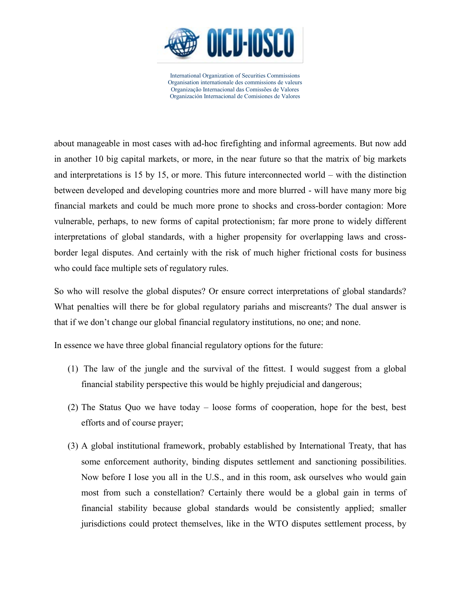

about manageable in most cases with ad-hoc firefighting and informal agreements. But now add in another 10 big capital markets, or more, in the near future so that the matrix of big markets and interpretations is 15 by 15, or more. This future interconnected world – with the distinction between developed and developing countries more and more blurred - will have many more big financial markets and could be much more prone to shocks and cross-border contagion: More vulnerable, perhaps, to new forms of capital protectionism; far more prone to widely different interpretations of global standards, with a higher propensity for overlapping laws and crossborder legal disputes. And certainly with the risk of much higher frictional costs for business who could face multiple sets of regulatory rules.

So who will resolve the global disputes? Or ensure correct interpretations of global standards? What penalties will there be for global regulatory pariahs and miscreants? The dual answer is that if we don't change our global financial regulatory institutions, no one; and none.

In essence we have three global financial regulatory options for the future:

- (1) The law of the jungle and the survival of the fittest. I would suggest from a global financial stability perspective this would be highly prejudicial and dangerous;
- (2) The Status Quo we have today loose forms of cooperation, hope for the best, best efforts and of course prayer;
- (3) A global institutional framework, probably established by International Treaty, that has some enforcement authority, binding disputes settlement and sanctioning possibilities. Now before I lose you all in the U.S., and in this room, ask ourselves who would gain most from such a constellation? Certainly there would be a global gain in terms of financial stability because global standards would be consistently applied; smaller jurisdictions could protect themselves, like in the WTO disputes settlement process, by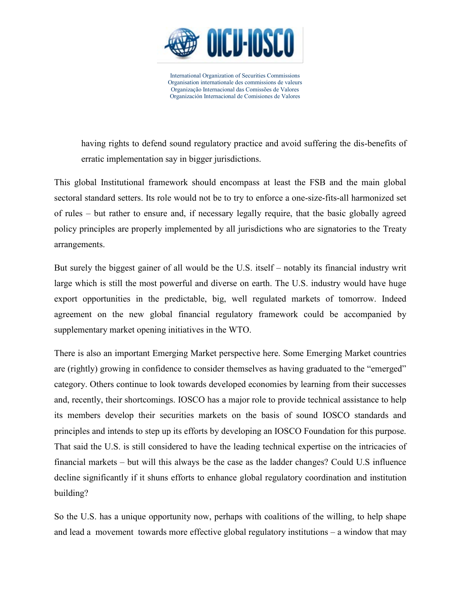

having rights to defend sound regulatory practice and avoid suffering the dis-benefits of erratic implementation say in bigger jurisdictions.

This global Institutional framework should encompass at least the FSB and the main global sectoral standard setters. Its role would not be to try to enforce a one-size-fits-all harmonized set of rules – but rather to ensure and, if necessary legally require, that the basic globally agreed policy principles are properly implemented by all jurisdictions who are signatories to the Treaty arrangements.

But surely the biggest gainer of all would be the U.S. itself – notably its financial industry writ large which is still the most powerful and diverse on earth. The U.S. industry would have huge export opportunities in the predictable, big, well regulated markets of tomorrow. Indeed agreement on the new global financial regulatory framework could be accompanied by supplementary market opening initiatives in the WTO.

There is also an important Emerging Market perspective here. Some Emerging Market countries are (rightly) growing in confidence to consider themselves as having graduated to the "emerged" category. Others continue to look towards developed economies by learning from their successes and, recently, their shortcomings. IOSCO has a major role to provide technical assistance to help its members develop their securities markets on the basis of sound IOSCO standards and principles and intends to step up its efforts by developing an IOSCO Foundation for this purpose. That said the U.S. is still considered to have the leading technical expertise on the intricacies of financial markets – but will this always be the case as the ladder changes? Could U.S influence decline significantly if it shuns efforts to enhance global regulatory coordination and institution building?

So the U.S. has a unique opportunity now, perhaps with coalitions of the willing, to help shape and lead a movement towards more effective global regulatory institutions – a window that may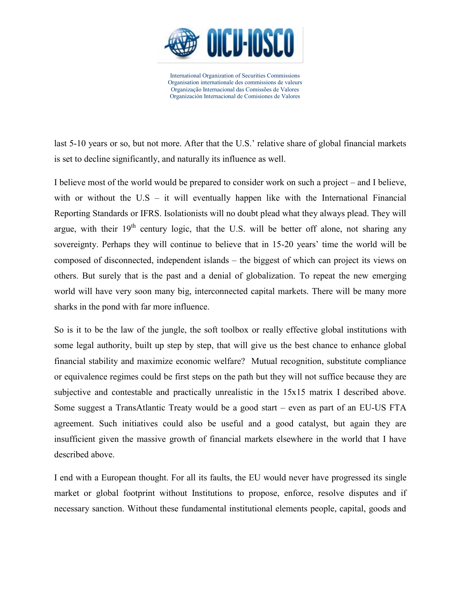

last 5-10 years or so, but not more. After that the U.S.' relative share of global financial markets is set to decline significantly, and naturally its influence as well.

I believe most of the world would be prepared to consider work on such a project – and I believe, with or without the  $US - it$  will eventually happen like with the International Financial Reporting Standards or IFRS. Isolationists will no doubt plead what they always plead. They will argue, with their  $19<sup>th</sup>$  century logic, that the U.S. will be better off alone, not sharing any sovereignty. Perhaps they will continue to believe that in 15-20 years' time the world will be composed of disconnected, independent islands – the biggest of which can project its views on others. But surely that is the past and a denial of globalization. To repeat the new emerging world will have very soon many big, interconnected capital markets. There will be many more sharks in the pond with far more influence.

So is it to be the law of the jungle, the soft toolbox or really effective global institutions with some legal authority, built up step by step, that will give us the best chance to enhance global financial stability and maximize economic welfare? Mutual recognition, substitute compliance or equivalence regimes could be first steps on the path but they will not suffice because they are subjective and contestable and practically unrealistic in the 15x15 matrix I described above. Some suggest a TransAtlantic Treaty would be a good start – even as part of an EU-US FTA agreement. Such initiatives could also be useful and a good catalyst, but again they are insufficient given the massive growth of financial markets elsewhere in the world that I have described above.

I end with a European thought. For all its faults, the EU would never have progressed its single market or global footprint without Institutions to propose, enforce, resolve disputes and if necessary sanction. Without these fundamental institutional elements people, capital, goods and